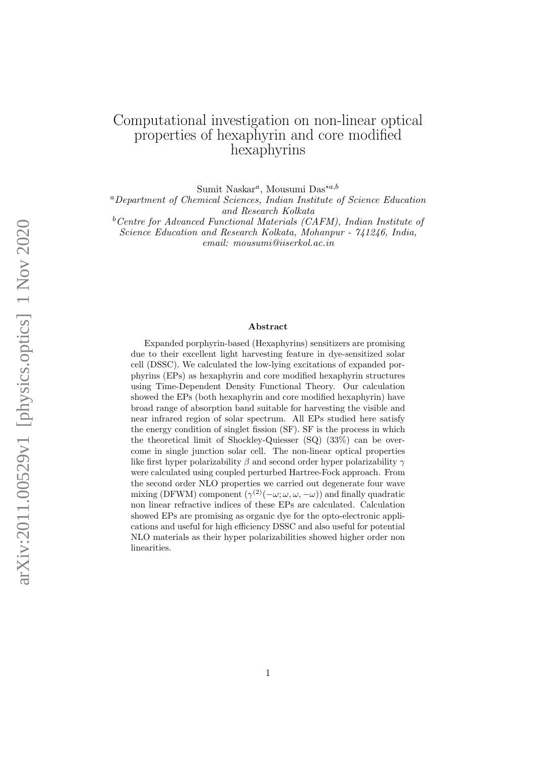# Computational investigation on non-linear optical properties of hexaphyrin and core modified hexaphyrins

Sumit Naskar<sup>a</sup>, Mousumi Das<sup>\*a,b</sup>

<sup>a</sup>Department of Chemical Sciences, Indian Institute of Science Education and Research Kolkata

 $b$ <sup>b</sup>Centre for Advanced Functional Materials (CAFM), Indian Institute of Science Education and Research Kolkata, Mohanpur - 741246, India,

email: mousumi@iiserkol.ac.in

#### Abstract

Expanded porphyrin-based (Hexaphyrins) sensitizers are promising due to their excellent light harvesting feature in dye-sensitized solar cell (DSSC). We calculated the low-lying excitations of expanded porphyrins (EPs) as hexaphyrin and core modified hexaphyrin structures using Time-Dependent Density Functional Theory. Our calculation showed the EPs (both hexaphyrin and core modified hexaphyrin) have broad range of absorption band suitable for harvesting the visible and near infrared region of solar spectrum. All EPs studied here satisfy the energy condition of singlet fission (SF). SF is the process in which the theoretical limit of Shockley-Quiesser (SQ) (33%) can be overcome in single junction solar cell. The non-linear optical properties like first hyper polarizability  $\beta$  and second order hyper polarizability  $\gamma$ were calculated using coupled perturbed Hartree-Fock approach. From the second order NLO properties we carried out degenerate four wave mixing (DFWM) component  $(\gamma^{(2)}(-\omega; \omega, \omega, -\omega))$  and finally quadratic non linear refractive indices of these EPs are calculated. Calculation showed EPs are promising as organic dye for the opto-electronic applications and useful for high efficiency DSSC and also useful for potential NLO materials as their hyper polarizabilities showed higher order non linearities.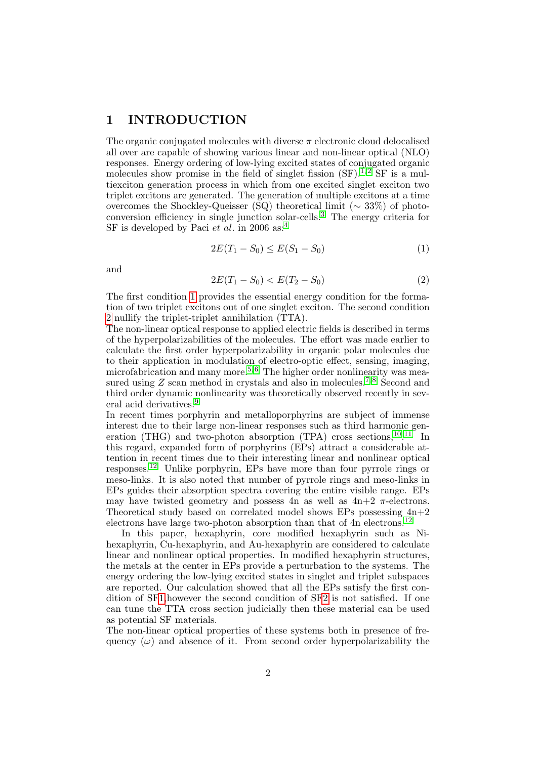### 1 INTRODUCTION

The organic conjugated molecules with diverse  $\pi$  electronic cloud delocalised all over are capable of showing various linear and non-linear optical (NLO) responses. Energy ordering of low-lying excited states of conjugated organic molecules show promise in the field of singlet fission  $(SF)^{1,2}$  $(SF)^{1,2}$  $(SF)^{1,2}$  SF is a multiexciton generation process in which from one excited singlet exciton two triplet excitons are generated. The generation of multiple excitons at a time overcomes the Shockley-Queisser (SQ) theoretical limit ( $\sim 33\%$ ) of photoconversion efficiency in single junction solar-cells.[3](#page-13-2) The energy criteria for SF is developed by Paci et al. in 2006 as:<sup>[4](#page-13-3)</sup>

<span id="page-1-0"></span>
$$
2E(T_1 - S_0) \le E(S_1 - S_0) \tag{1}
$$

and

<span id="page-1-1"></span>
$$
2E(T_1 - S_0) < E(T_2 - S_0) \tag{2}
$$

The first condition [1](#page-1-0) provides the essential energy condition for the formation of two triplet excitons out of one singlet exciton. The second condition [2](#page-1-1) nullify the triplet-triplet annihilation (TTA).

The non-linear optical response to applied electric fields is described in terms of the hyperpolarizabilities of the molecules. The effort was made earlier to calculate the first order hyperpolarizability in organic polar molecules due to their application in modulation of electro-optic effect, sensing, imaging, microfabrication and many more.<sup>[5,](#page-13-4) [6](#page-13-5)</sup> The higher order nonlinearity was measured using  $Z$  scan method in crystals and also in molecules.<sup>[7,](#page-13-6)8</sup> Second and third order dynamic nonlinearity was theoretically observed recently in sev-eral acid derivatives.<sup>[9](#page-14-1)</sup>

In recent times porphyrin and metalloporphyrins are subject of immense interest due to their large non-linear responses such as third harmonic generation (THG) and two-photon absorption (TPA) cross sections,  $^{10,11}$  $^{10,11}$  $^{10,11}$  $^{10,11}$  $^{10,11}$  In this regard, expanded form of porphyrins (EPs) attract a considerable attention in recent times due to their interesting linear and nonlinear optical responses.[12](#page-14-4) Unlike porphyrin, EPs have more than four pyrrole rings or meso-links. It is also noted that number of pyrrole rings and meso-links in EPs guides their absorption spectra covering the entire visible range. EPs may have twisted geometry and possess 4n as well as  $4n+2$   $\pi$ -electrons. Theoretical study based on correlated model shows EPs possessing  $4n+2$ electrons have large two-photon absorption than that of 4n electrons.<sup>[12](#page-14-4)</sup>

In this paper, hexaphyrin, core modified hexaphyrin such as Nihexaphyrin, Cu-hexaphyrin, and Au-hexaphyrin are considered to calculate linear and nonlinear optical properties. In modified hexaphyrin structures, the metals at the center in EPs provide a perturbation to the systems. The energy ordering the low-lying excited states in singlet and triplet subspaces are reported. Our calculation showed that all the EPs satisfy the first condition of S[F1,](#page-1-0)however the second condition of S[F2](#page-1-1) is not satisfied. If one can tune the TTA cross section judicially then these material can be used as potential SF materials.

The non-linear optical properties of these systems both in presence of frequency  $(\omega)$  and absence of it. From second order hyperpolarizability the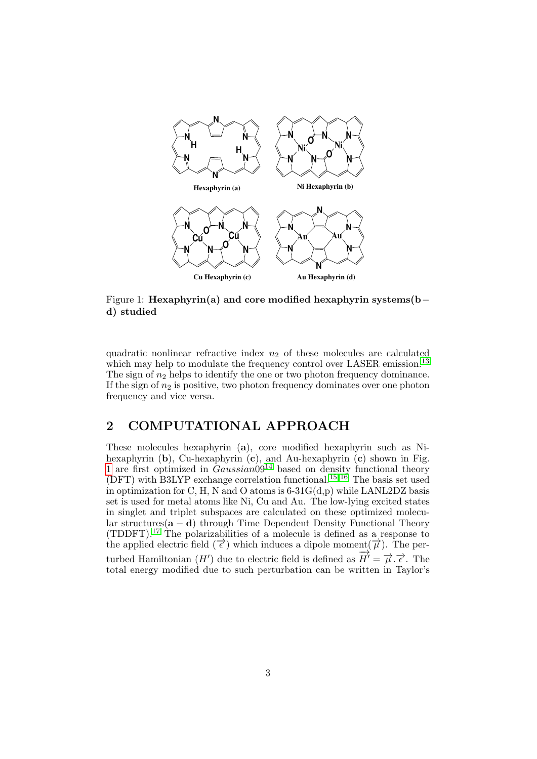

<span id="page-2-0"></span>Figure 1: Hexaphyrin(a) and core modified hexaphyrin systems(b− d) studied

quadratic nonlinear refractive index  $n_2$  of these molecules are calculated which may help to modulate the frequency control over LASER emission.<sup>[13](#page-14-5)</sup> The sign of  $n_2$  helps to identify the one or two photon frequency dominance. If the sign of  $n_2$  is positive, two photon frequency dominates over one photon frequency and vice versa.

## 2 COMPUTATIONAL APPROACH

These molecules hexaphyrin (a), core modified hexaphyrin such as Nihexaphyrin  $(b)$ , Cu-hexaphyrin  $(c)$ , and Au-hexaphyrin  $(c)$  shown in Fig. [1](#page-2-0) are first optimized in  $Gaussian09^{14}$  $Gaussian09^{14}$  $Gaussian09^{14}$  based on density functional theory (DFT) with B3LYP exchange correlation functional.<sup>[15,](#page-14-7) [16](#page-14-8)</sup> The basis set used in optimization for C, H, N and O atoms is  $6-31G(d,p)$  while LANL2DZ basis set is used for metal atoms like Ni, Cu and Au. The low-lying excited states in singlet and triplet subspaces are calculated on these optimized molecular structures( $\mathbf{a} - \mathbf{d}$ ) through Time Dependent Density Functional Theory (TDDFT).<sup>[17](#page-15-0)</sup> The polarizabilities of a molecule is defined as a response to the applied electric field  $(\vec{\epsilon})$  which induces a dipole moment $(\vec{\mu})$ . The perturbed Hamiltonian  $(H')$  due to electric field is defined as  $\overrightarrow{H'} = \overrightarrow{\mu} \cdot \overrightarrow{\epsilon}$ . The total energy modified due to such perturbation can be written in Taylor's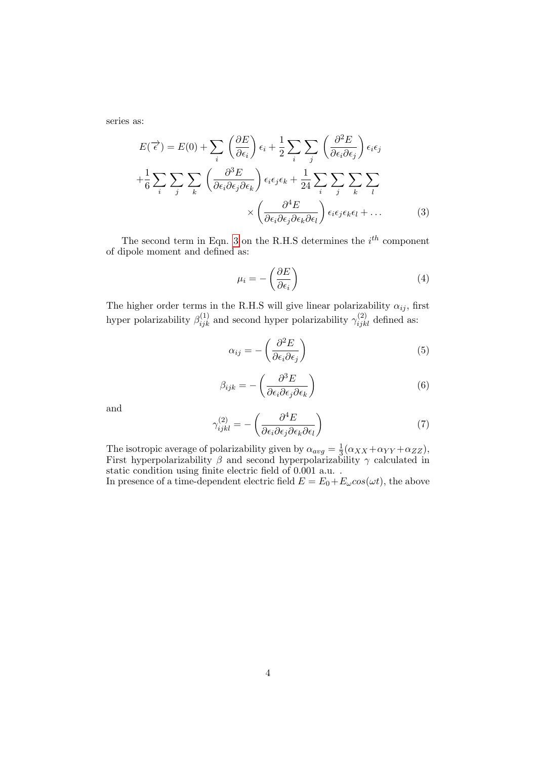series as:

<span id="page-3-0"></span>
$$
E(\vec{\epsilon}) = E(0) + \sum_{i} \left(\frac{\partial E}{\partial \epsilon_{i}}\right) \epsilon_{i} + \frac{1}{2} \sum_{i} \sum_{j} \left(\frac{\partial^{2} E}{\partial \epsilon_{i} \partial \epsilon_{j}}\right) \epsilon_{i} \epsilon_{j}
$$

$$
+ \frac{1}{6} \sum_{i} \sum_{j} \sum_{k} \left(\frac{\partial^{3} E}{\partial \epsilon_{i} \partial \epsilon_{j} \partial \epsilon_{k}}\right) \epsilon_{i} \epsilon_{j} \epsilon_{k} + \frac{1}{24} \sum_{i} \sum_{j} \sum_{k} \sum_{l}
$$

$$
\times \left(\frac{\partial^{4} E}{\partial \epsilon_{i} \partial \epsilon_{j} \partial \epsilon_{k} \partial \epsilon_{l}}\right) \epsilon_{i} \epsilon_{j} \epsilon_{k} \epsilon_{l} + \dots \tag{3}
$$

The second term in Eqn. [3](#page-3-0) on the R.H.S determines the  $i^{th}$  component of dipole moment and defined as:

$$
\mu_i = -\left(\frac{\partial E}{\partial \epsilon_i}\right) \tag{4}
$$

The higher order terms in the R.H.S will give linear polarizability  $\alpha_{ij}$ , first hyper polarizability  $\beta_{ijk}^{(1)}$  and second hyper polarizability  $\gamma_{ijkl}^{(2)}$  defined as:

$$
\alpha_{ij} = -\left(\frac{\partial^2 E}{\partial \epsilon_i \partial \epsilon_j}\right) \tag{5}
$$

$$
\beta_{ijk} = -\left(\frac{\partial^3 E}{\partial \epsilon_i \partial \epsilon_j \partial \epsilon_k}\right) \tag{6}
$$

and

$$
\gamma_{ijkl}^{(2)} = -\left(\frac{\partial^4 E}{\partial \epsilon_i \partial \epsilon_j \partial \epsilon_k \partial \epsilon_l}\right) \tag{7}
$$

The isotropic average of polarizability given by  $\alpha_{avg} = \frac{1}{3}$  $\frac{1}{3}(\alpha_{XX}+\alpha_{YY}+\alpha_{ZZ}),$ First hyperpolarizability  $\beta$  and second hyperpolarizability  $\gamma$  calculated in static condition using finite electric field of 0.001 a.u. .

In presence of a time-dependent electric field  $E = E_0 + E_{\omega} \cos(\omega t)$ , the above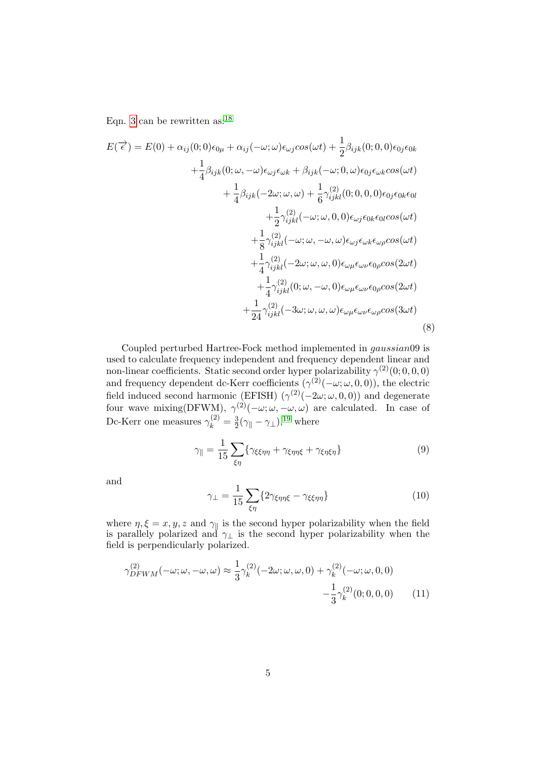Eqn. [3](#page-3-0) can be rewritten as: $^{18}$  $^{18}$  $^{18}$ 

$$
E(\vec{\epsilon}) = E(0) + \alpha_{ij}(0;0)\epsilon_{0\mu} + \alpha_{ij}(-\omega;\omega)\epsilon_{\omega j}cos(\omega t) + \frac{1}{2}\beta_{ijk}(0;0,0)\epsilon_{0j}\epsilon_{0k} + \frac{1}{4}\beta_{ijk}(0;\omega,-\omega)\epsilon_{\omega j}\epsilon_{\omega k} + \beta_{ijk}(-\omega;0,\omega)\epsilon_{0j}\epsilon_{\omega k}cos(\omega t) + \frac{1}{4}\beta_{ijk}(-2\omega;\omega,\omega) + \frac{1}{6}\gamma_{ijkl}^{(2)}(0;0,0,0)\epsilon_{0j}\epsilon_{0k}\epsilon_{0l} + \frac{1}{2}\gamma_{ijkl}^{(2)}(-\omega;\omega,0,0)\epsilon_{\omega j}\epsilon_{0k}\epsilon_{0l}cos(\omega t) + \frac{1}{8}\gamma_{ijkl}^{(2)}(-\omega;\omega,-\omega,\omega)\epsilon_{\omega j}\epsilon_{\omega k}\epsilon_{\omega p}cos(\omega t) + \frac{1}{4}\gamma_{ijkl}^{(2)}(-2\omega;\omega,\omega,0)\epsilon_{\omega\mu}\epsilon_{\omega\nu}\epsilon_{0p}cos(2\omega t) + \frac{1}{4}\gamma_{ijkl}^{(2)}(0;\omega,-\omega,0)\epsilon_{\omega\mu}\epsilon_{\omega\nu}\epsilon_{0p}cos(2\omega t) + \frac{1}{24}\gamma_{ijkl}^{(2)}(-3\omega;\omega,\omega,\omega)\epsilon_{\omega\mu}\epsilon_{\omega\nu}\epsilon_{0p}cos(3\omega t)
$$
\n(8)

Coupled perturbed Hartree-Fock method implemented in gaussian09 is used to calculate frequency independent and frequency dependent linear and non-linear coefficients. Static second order hyper polarizability  $\gamma^{(2)}(0;0,0,0)$ and frequency dependent dc-Kerr coefficients  $(\gamma^{(2)}(-\omega; \omega, 0, 0))$ , the electric field induced second harmonic (EFISH)  $(\gamma^{(2)}(-2\omega;\omega,0,0))$  and degenerate four wave mixing(DFWM),  $\gamma^{(2)}(-\omega;\omega,-\omega,\omega)$  are calculated. In case of Dc-Kerr one measures  $\gamma_k^{(2)} = \frac{3}{2}$  $\frac{3}{2}(\gamma_{\parallel} - \gamma_{\perp}),^{19}$  $\frac{3}{2}(\gamma_{\parallel} - \gamma_{\perp}),^{19}$  $\frac{3}{2}(\gamma_{\parallel} - \gamma_{\perp}),^{19}$  where

$$
\gamma_{\parallel} = \frac{1}{15} \sum_{\xi \eta} \{ \gamma_{\xi \xi \eta \eta} + \gamma_{\xi \eta \eta \xi} + \gamma_{\xi \eta \xi \eta} \} \tag{9}
$$

and

$$
\gamma_{\perp} = \frac{1}{15} \sum_{\xi \eta} \{ 2\gamma_{\xi \eta \eta \xi} - \gamma_{\xi \xi \eta \eta} \} \tag{10}
$$

where  $\eta, \xi = x, y, z$  and  $\gamma_{\parallel}$  is the second hyper polarizability when the field is parallely polarized and  $\gamma_{\perp}$  is the second hyper polarizability when the field is perpendicularly polarized.

$$
\gamma_{DFWM}^{(2)}(-\omega;\omega,-\omega,\omega) \approx \frac{1}{3}\gamma_k^{(2)}(-2\omega;\omega,\omega,0) + \gamma_k^{(2)}(-\omega;\omega,0,0) -\frac{1}{3}\gamma_k^{(2)}(0;0,0,0) \tag{11}
$$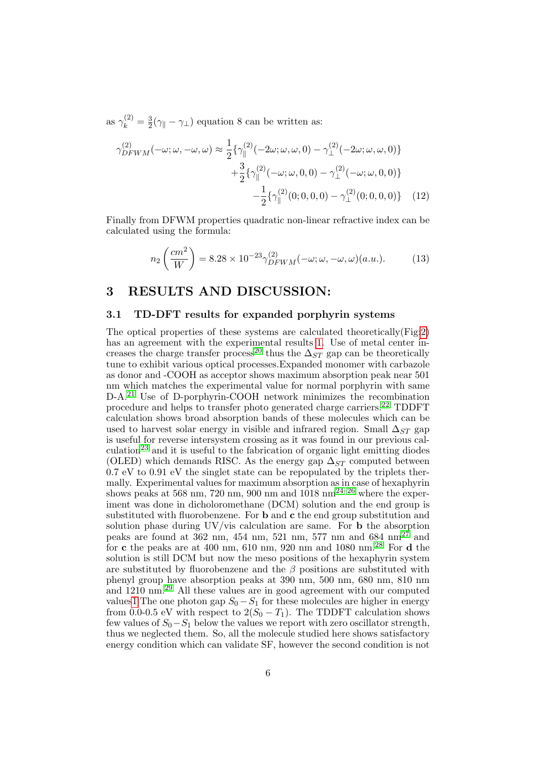as  $\gamma_k^{(2)} = \frac{3}{2}$  $\frac{3}{2}(\gamma_{\parallel} - \gamma_{\perp})$  equation 8 can be written as:

$$
\gamma_{DFWM}^{(2)}(-\omega; \omega, -\omega, \omega) \approx \frac{1}{2} \{ \gamma_{\parallel}^{(2)}(-2\omega; \omega, \omega, 0) - \gamma_{\perp}^{(2)}(-2\omega; \omega, \omega, 0) \} \n+ \frac{3}{2} \{ \gamma_{\parallel}^{(2)}(-\omega; \omega, 0, 0) - \gamma_{\perp}^{(2)}(-\omega; \omega, 0, 0) \} \n- \frac{1}{2} \{ \gamma_{\parallel}^{(2)}(0; 0, 0, 0) - \gamma_{\perp}^{(2)}(0; 0, 0, 0) \} \tag{12}
$$

Finally from DFWM properties quadratic non-linear refractive index can be calculated using the formula:

$$
n_2\left(\frac{cm^2}{W}\right) = 8.28 \times 10^{-23} \gamma_{DFWM}^{(2)}(-\omega; \omega, -\omega, \omega)(a.u.).
$$
 (13)

### 3 RESULTS AND DISCUSSION:

### 3.1 TD-DFT results for expanded porphyrin systems

The optical properties of these systems are calculated theoretically(Fig[:2\)](#page-7-0) has an agreement with the experimental results [1.](#page-6-0) Use of metal center in-creases the charge transfer process<sup>[20](#page-15-3)</sup> thus the  $\Delta_{ST}$  gap can be theoretically tune to exhibit various optical processes.Expanded monomer with carbazole as donor and -COOH as acceptor shows maximum absorption peak near 501 nm which matches the experimental value for normal porphyrin with same D-A.[21](#page-15-4) Use of D-porphyrin-COOH network minimizes the recombination procedure and helps to transfer photo generated charge carriers.[22](#page-15-5) TDDFT calculation shows broad absorption bands of these molecules which can be used to harvest solar energy in visible and infrared region. Small  $\Delta_{ST}$  gap is useful for reverse intersystem crossing as it was found in our previous cal-culation<sup>[23](#page-15-6)</sup> and it is useful to the fabrication of organic light emitting diodes (OLED) which demands RISC. As the energy gap  $\Delta_{ST}$  computed between  $0.7 \text{ eV}$  to  $0.91 \text{ eV}$  the singlet state can be repopulated by the triplets thermally. Experimental values for maximum absorption as in case of hexaphyrin shows peaks at 568 nm, 720 nm, 900 nm and  $1018 \text{ nm}^{24-26}$  $1018 \text{ nm}^{24-26}$  $1018 \text{ nm}^{24-26}$  where the experiment was done in dicholoromethane (DCM) solution and the end group is substituted with fluorobenzene. For b and c the end group substitution and solution phase during UV/vis calculation are same. For b the absorption peaks are found at  $362$  nm,  $454$  nm,  $521$  nm,  $577$  nm and  $684$  nm<sup>[27](#page-16-0)</sup> and for c the peaks are at 400 nm, 610 nm, 920 nm and 1080 nm.<sup>[28](#page-16-1)</sup> For d the solution is still DCM but now the meso positions of the hexaphyrin system are substituted by fluorobenzene and the  $\beta$  positions are substituted with phenyl group have absorption peaks at 390 nm, 500 nm, 680 nm, 810 nm and 1210 nm.[29](#page-16-2) All these values are in good agreement with our computed value[s1](#page-6-0) The one photon gap  $S_0 - S_1$  for these molecules are higher in energy from 0.0-0.5 eV with respect to  $2(S_0 - T_1)$ . The TDDFT calculation shows few values of  $S_0-S_1$  below the values we report with zero oscillator strength, thus we neglected them. So, all the molecule studied here shows satisfactory energy condition which can validate SF, however the second condition is not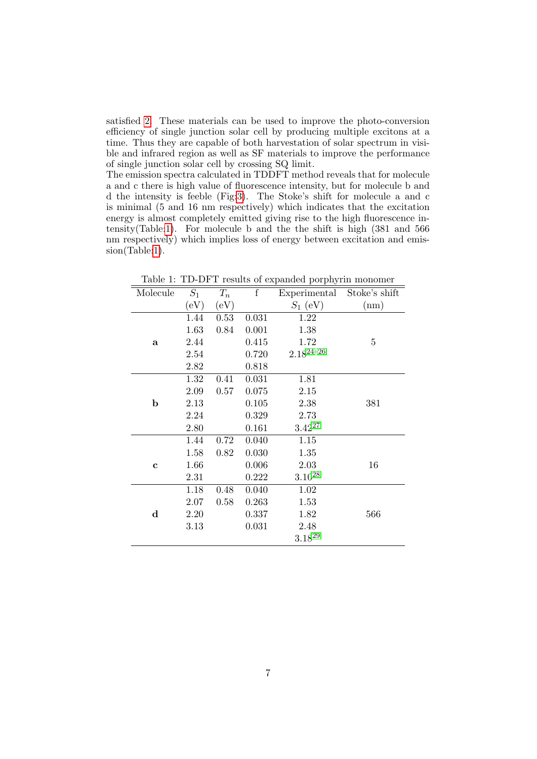satisfied [2.](#page-1-1) These materials can be used to improve the photo-conversion efficiency of single junction solar cell by producing multiple excitons at a time. Thus they are capable of both harvestation of solar spectrum in visible and infrared region as well as SF materials to improve the performance of single junction solar cell by crossing SQ limit.

The emission spectra calculated in TDDFT method reveals that for molecule a and c there is high value of fluorescence intensity, but for molecule b and d the intensity is feeble (Fig[:3\)](#page-7-1). The Stoke's shift for molecule a and c is minimal (5 and 16 nm respectively) which indicates that the excitation energy is almost completely emitted giving rise to the high fluorescence intensity(Table[:1\)](#page-6-0). For molecule b and the the shift is high (381 and 566 nm respectively) which implies loss of energy between excitation and emission(Table[:1\)](#page-6-0).

| Molecule    | $S_1$ | $T_n$ | $\rm f$ | Experimental   | Stoke's shift |
|-------------|-------|-------|---------|----------------|---------------|
|             | (eV)  | (eV)  |         | $S_1$ (eV)     | (nm)          |
|             | 1.44  | 0.53  | 0.031   | 1.22           |               |
|             | 1.63  | 0.84  | 0.001   | 1.38           |               |
| a           | 2.44  |       | 0.415   | 1.72           | 5             |
|             | 2.54  |       | 0.720   | $2.18^{24-26}$ |               |
|             | 2.82  |       | 0.818   |                |               |
|             | 1.32  | 0.41  | 0.031   | 1.81           |               |
|             | 2.09  | 0.57  | 0.075   | 2.15           |               |
| b           | 2.13  |       | 0.105   | 2.38           | 381           |
|             | 2.24  |       | 0.329   | 2.73           |               |
|             | 2.80  |       | 0.161   | $3.42^{27}$    |               |
|             | 1.44  | 0.72  | 0.040   | 1.15           |               |
|             | 1.58  | 0.82  | 0.030   | 1.35           |               |
| $\mathbf c$ | 1.66  |       | 0.006   | 2.03           | 16            |
|             | 2.31  |       | 0.222   | $3.10^{28}$    |               |
|             | 1.18  | 0.48  | 0.040   | 1.02           |               |
|             | 2.07  | 0.58  | 0.263   | 1.53           |               |
| $\mathbf d$ | 2.20  |       | 0.337   | 1.82           | 566           |
|             | 3.13  |       | 0.031   | 2.48           |               |
|             |       |       |         | $3.18^{29}$    |               |

<span id="page-6-0"></span>Table 1: TD-DFT results of expanded porphyrin monomer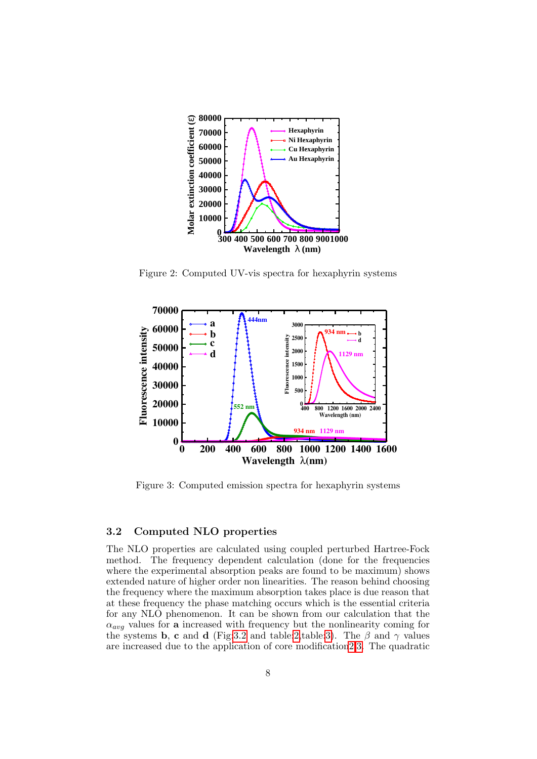

<span id="page-7-0"></span>Figure 2: Computed UV-vis spectra for hexaphyrin systems



<span id="page-7-1"></span>Figure 3: Computed emission spectra for hexaphyrin systems

### <span id="page-7-2"></span>3.2 Computed NLO properties

The NLO properties are calculated using coupled perturbed Hartree-Fock method. The frequency dependent calculation (done for the frequencies where the experimental absorption peaks are found to be maximum) shows extended nature of higher order non linearities. The reason behind choosing the frequency where the maximum absorption takes place is due reason that at these frequency the phase matching occurs which is the essential criteria for any NLO phenomenon. It can be shown from our calculation that the  $\alpha_{avg}$  values for a increased with frequency but the nonlinearity coming for the systems b, c and d (Fig[:3.2](#page-7-2) and table[:2,](#page-10-0)table[:3\)](#page-10-1). The  $\beta$  and  $\gamma$  values are increased due to the application of core modificatio[n2,](#page-10-0)[3.](#page-10-1) The quadratic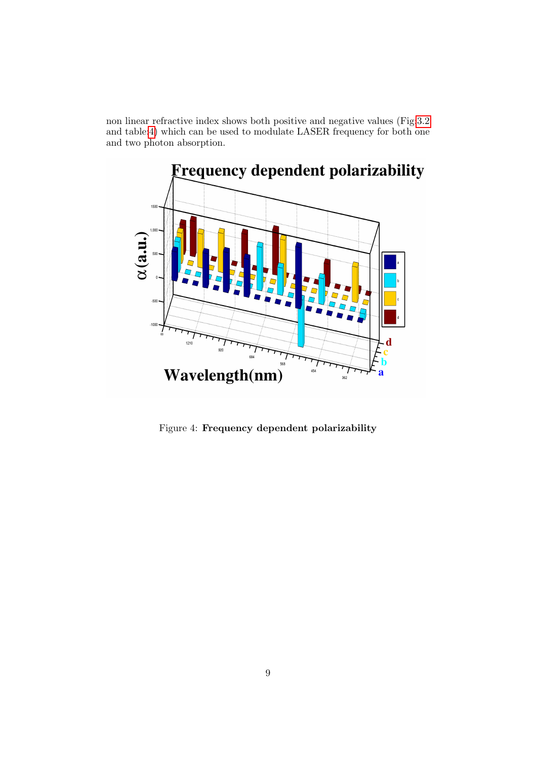non linear refractive index shows both positive and negative values (Fig[:3.2](#page-8-0) and table[:4\)](#page-11-0) which can be used to modulate LASER frequency for both one and two photon absorption.



<span id="page-8-0"></span>Figure 4: Frequency dependent polarizability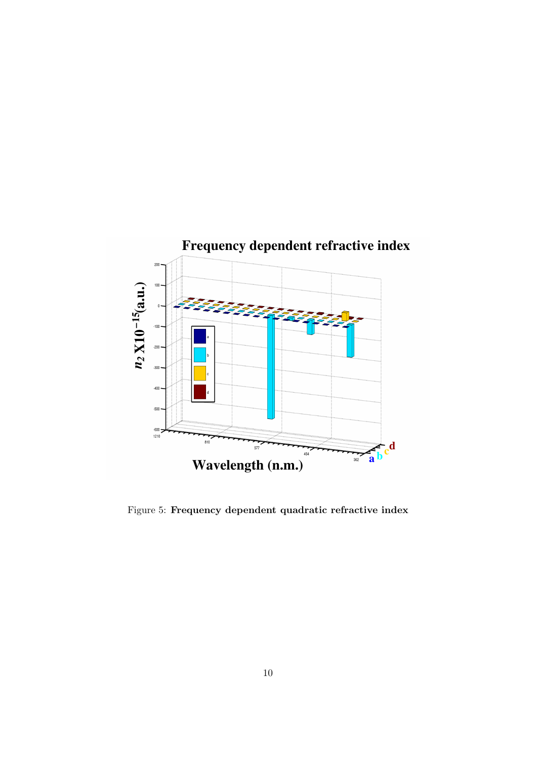

Figure 5: Frequency dependent quadratic refractive index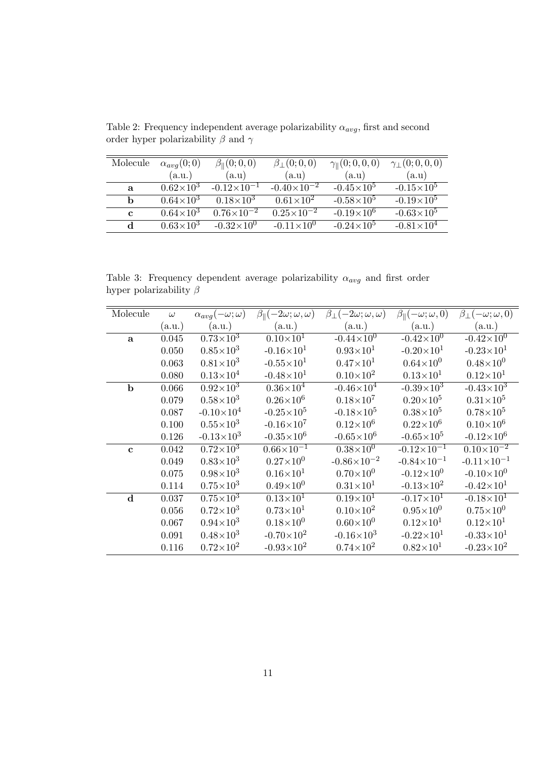| Molecule     | $\alpha_{avg}(0;0)$ | $\beta_{\ }(0;0,0)$  | $\beta_{\perp}(0;0,0)$ | $\gamma_{\parallel}(0;0,0,0)$ | $\gamma_{\perp}(0;0,0,0)$ |
|--------------|---------------------|----------------------|------------------------|-------------------------------|---------------------------|
|              | (a.u.)              | (a.u)                | (a.u)                  | (a.u)                         | (a.u)                     |
| $\mathbf{a}$ | $0.62\times10^{3}$  | $-0.12\times10^{-1}$ | $-0.40\times10^{-2}$   | $-0.45 \times 10^5$           | $-0.15 \times 10^5$       |
| h            | $0.64\times10^{3}$  | $0.18\times10^{3}$   | $0.61\times10^{2}$     | $-0.58\times10^{5}$           | $-0.19\times10^{5}$       |
| $\mathbf c$  | $0.64\times10^{3}$  | $0.76\times10^{-2}$  | $0.25 \times 10^{-2}$  | $-0.19\times10^{6}$           | $-0.63\times10^{5}$       |
| <sub>d</sub> | $0.63\times10^{3}$  | $-0.32\times10^{0}$  | $-0.11 \times 10^{0}$  | $-0.24\times10^{5}$           | $-0.81\times10^{4}$       |

<span id="page-10-0"></span>Table 2: Frequency independent average polarizability  $\alpha_{avg},$  first and second order hyper polarizability  $\beta$  and  $\gamma$ 

<span id="page-10-1"></span>Table 3: Frequency dependent average polarizability  $\alpha_{avg}$  and first order hyper polarizability  $\beta$ 

| Molecule    | $\omega$ | $\alpha_{avg}(-\omega;\omega)$ | $\beta_{\parallel}(-2\omega;\omega,\omega)$ | $\beta_{\perp}(-2\omega;\omega,\omega)$ | $\beta_{\parallel}(-\omega;\omega,0)$ | $\beta_{\perp}(-\omega; \omega, 0)$ |
|-------------|----------|--------------------------------|---------------------------------------------|-----------------------------------------|---------------------------------------|-------------------------------------|
|             | (a.u.)   | (a.u.)                         | (a.u.)                                      | (a.u.)                                  | (a.u.)                                | (a.u.)                              |
| a           | 0.045    | $0.73\times10^3$               | $0.10\times10^{T}$                          | $-0.44 \times 10^{0}$                   | $-0.42 \times 10^{0}$                 | $-0.42 \times 10^{0}$               |
|             | 0.050    | $0.85\times10^{3}$             | $-0.16 \times 10^{1}$                       | $0.93\times10^{1}$                      | $-0.20\times10^{1}$                   | $-0.23\times10^{1}$                 |
|             | 0.063    | $0.81\times10^{3}$             | $-0.55 \times 10^{1}$                       | $0.47\times10^{1}$                      | $0.64\times10^{0}$                    | $0.48\times10^{0}$                  |
|             | 0.080    | $0.13\times10^{4}$             | $-0.48\times10^{1}$                         | $0.10\times10^{2}$                      | $0.13\times10^{1}$                    | $0.12\times10^{1}$                  |
| $\mathbf b$ | 0.066    | $0.92\times10^{3}$             | $0.36\times10^{4}$                          | $-0.46 \times 10^4$                     | $-0.39\times10^{3}$                   | $-0.43\times10^{3}$                 |
|             | 0.079    | $0.58\times10^{3}$             | $0.26\times10^{6}$                          | $0.18\times10^{7}$                      | $0.20\times10^{5}$                    | $0.31\times10^{5}$                  |
|             | 0.087    | $-0.10\times10^{4}$            | $-0.25 \times 10^5$                         | $-0.18\times10^{5}$                     | $0.38\times10^{5}$                    | $0.78\times10^{5}$                  |
|             | 0.100    | $0.55\times10^{3}$             | $-0.16 \times 10^7$                         | $0.12\times10^{6}$                      | $0.22\times10^{6}$                    | $0.10\times10^{6}$                  |
|             | 0.126    | $-0.13\times10^{3}$            | $-0.35 \times 10^6$                         | $-0.65 \times 10^6$                     | $-0.65 \times 10^5$                   | $-0.12\times10^{6}$                 |
| $\mathbf c$ | 0.042    | $0.72\times10^3$               | $0.66\times10^{-1}$                         | $0.38\times10^{0}$                      | $-0.12\times10^{-1}$                  | $0.10\times10^{-2}$                 |
|             | 0.049    | $0.83\times10^{3}$             | $0.27\times10^{0}$                          | $-0.86 \times 10^{-2}$                  | $-0.84\times10^{-1}$                  | $-0.11 \times 10^{-1}$              |
|             | 0.075    | $0.98\times10^{3}$             | $0.16\times10^{1}$                          | $0.70\times10^{0}$                      | $-0.12 \times 10^{0}$                 | $-0.10\times10^{0}$                 |
|             | 0.114    | $0.75\times10^{3}$             | $0.49\times10^{0}$                          | $0.31\times10^{1}$                      | $-0.13\times10^{2}$                   | $-0.42\times10^{1}$                 |
| $\mathbf d$ | 0.037    | $0.75 \times 10^{3}$           | $0.13\times10^{1}$                          | $0.19\times10^{1}$                      | $-0.17\times10^{1}$                   | $-0.18\times10^{1}$                 |
|             | 0.056    | $0.72\times10^{3}$             | $0.73\times10^{1}$                          | $0.10\times10^{2}$                      | $0.95\times10^{0}$                    | $0.75\times10^{0}$                  |
|             | 0.067    | $0.94\times10^{3}$             | $0.18\times10^{0}$                          | $0.60\times10^{0}$                      | $0.12\times10^{1}$                    | $0.12\times10^{1}$                  |
|             | 0.091    | $0.48\times10^{3}$             | $-0.70\times10^{2}$                         | $-0.16 \times 10^3$                     | $-0.22\times10^{1}$                   | $-0.33\times10^{1}$                 |
|             | 0.116    | $0.72\times10^{2}$             | $-0.93\times10^{2}$                         | $0.74\times10^{2}$                      | $0.82\times10^{1}$                    | $-0.23\times10^{2}$                 |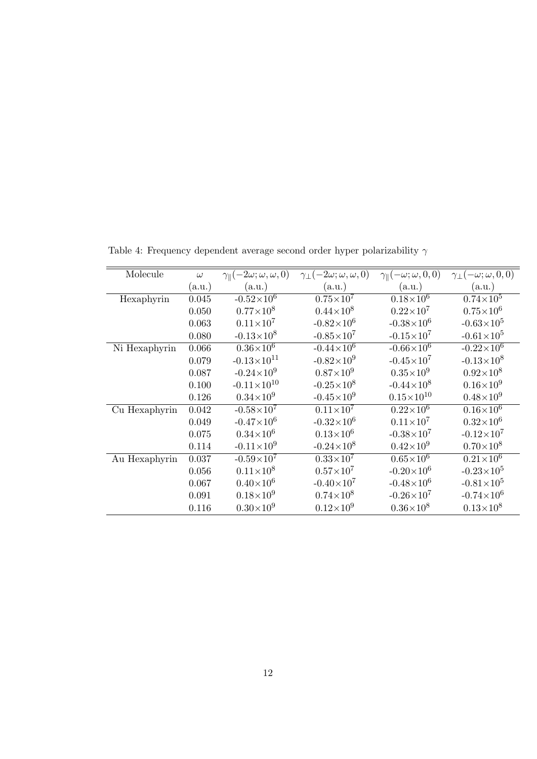| Molecule      | $\omega$ | $\gamma_{\parallel}(-2\omega;\omega,\omega,0)$ | $\gamma_{\perp}(-2\omega;\omega,\omega,0)$ | $\gamma_{\parallel}(-\omega;\omega,0,0)$ | $\gamma_{\perp}(-\omega; \omega, 0, 0)$ |
|---------------|----------|------------------------------------------------|--------------------------------------------|------------------------------------------|-----------------------------------------|
|               | (a.u.)   | (a.u.)                                         | (a.u.)                                     | (a.u.)                                   | (a.u.)                                  |
| Hexaphyrin    | 0.045    | $-0.52\times10^{6}$                            | $0.75 \times 10^7$                         | $0.18\times10^{6}$                       | $0.74\times10^{5}$                      |
|               | 0.050    | $0.77\times10^{8}$                             | $0.44\times10^{8}$                         | $0.22\times10^{7}$                       | $0.75\times10^{6}$                      |
|               | 0.063    | $0.11\times10^{7}$                             | $-0.82 \times 10^6$                        | $-0.38 \times 10^6$                      | $-0.63\times10^{5}$                     |
|               | 0.080    | $-0.13\times10^{8}$                            | $-0.85 \times 10^7$                        | $-0.15 \times 10^7$                      | $-0.61\times10^{5}$                     |
| Ni Hexaphyrin | 0.066    | $0.36\times10^{6}$                             | $-0.44 \times 10^6$                        | $-0.66\times10^{6}$                      | $-0.22\times10^{6}$                     |
|               | 0.079    | $-0.13\times10^{11}$                           | $-0.82\times10^{9}$                        | $-0.45 \times 10^7$                      | $-0.13\times10^{8}$                     |
|               | 0.087    | $-0.24 \times 10^9$                            | $0.87\times10^{9}$                         | $0.35\times10^{9}$                       | $0.92\times10^{8}$                      |
|               | 0.100    | $-0.11 \times 10^{10}$                         | $-0.25 \times 10^8$                        | $-0.44\times10^{8}$                      | $0.16\times10^{9}$                      |
|               | 0.126    | $0.34\times10^{9}$                             | $-0.45 \times 10^9$                        | $0.15\times10^{10}$                      | $0.48\times10^{9}$                      |
| Cu Hexaphyrin | 0.042    | $-0.58\times10^{7}$                            | $0.11\times10^{7}$                         | $0.22\times10^{6}$                       | $0.16\times10^{6}$                      |
|               | 0.049    | $-0.47\times10^{6}$                            | $-0.32\times10^{6}$                        | $0.11 \times 10^7$                       | $0.32\times10^{6}$                      |
|               | 0.075    | $0.34\times10^{6}$                             | $0.13\times10^{6}$                         | $-0.38\times10^{7}$                      | $-0.12 \times 10^7$                     |
|               | 0.114    | $-0.11 \times 10^9$                            | $-0.24\times10^{8}$                        | $0.42\times10^{9}$                       | $0.70\times10^{8}$                      |
| Au Hexaphyrin | 0.037    | $-0.59\times10^{7}$                            | $0.33\times10^{7}$                         | $0.65\times10^6$                         | $0.21\times10^6$                        |
|               | 0.056    | $0.11\times10^{8}$                             | $0.57\times10^{7}$                         | $-0.20\times10^{6}$                      | $-0.23 \times 10^5$                     |
|               | 0.067    | $0.40\times10^{6}$                             | $-0.40\times10^{7}$                        | $-0.48\times10^{6}$                      | $-0.81\times10^{5}$                     |
|               | 0.091    | $0.18\times10^{9}$                             | $0.74\times10^{8}$                         | $-0.26 \times 10^7$                      | $-0.74 \times 10^6$                     |
|               | 0.116    | $0.30\times10^{9}$                             | $0.12\times10^{9}$                         | $0.36\times10^{8}$                       | $0.13\times10^{8}$                      |

<span id="page-11-0"></span>Table 4: Frequency dependent average second order hyper polarizability  $\gamma$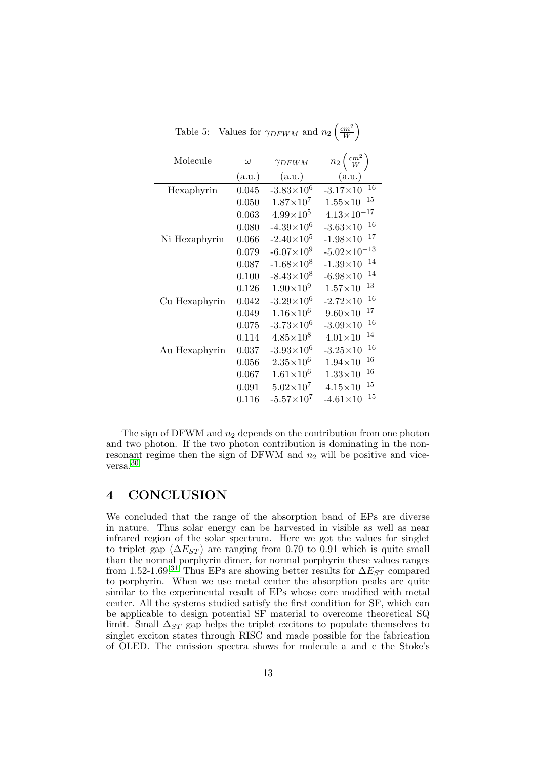| Molecule      | $\omega$ | $\gamma_{DFWM}$       | $n_2\left(\frac{cm^2}{W}\right)$ |
|---------------|----------|-----------------------|----------------------------------|
|               | (a.u.)   | (a.u.)                | (a.u.)                           |
| Hexaphyrin    | 0.045    | $-3.83 \times 10^{6}$ | $-3.17\times10^{-16}$            |
|               | 0.050    | $1.87\times10^{7}$    | $1.55\times10^{-15}$             |
|               | 0.063    | $4.99\times10^{5}$    | $4.13 \times 10^{-17}$           |
|               | 0.080    | $-4.39\times10^{6}$   | $-3.63\times10^{-16}$            |
| Ni Hexaphyrin | 0.066    | $-2.40\times10^{5}$   | $-1.98 \times 10^{-17}$          |
|               | 0.079    | $-6.07\times10^{9}$   | $-5.02\times10^{-13}$            |
|               | 0.087    | $-1.68\times10^{8}$   | $-1.39\times10^{-14}$            |
|               | 0.100    | $-8.43\times10^{8}$   | $-6.98 \times 10^{-14}$          |
|               | 0.126    | $1.90\times10^{9}$    | $1.57\times10^{-13}$             |
| Cu Hexaphyrin | 0.042    | $-3.29\times10^{6}$   | $-2.72\times10^{-16}$            |
|               | 0.049    | $1.16\times10^{6}$    | $9.60\times10^{-17}$             |
|               | 0.075    | $-3.73\times10^{6}$   | $-3.09\times10^{-16}$            |
|               | 0.114    | $4.85\times10^{8}$    | $4.01 \times 10^{-14}$           |
| Au Hexaphyrin | 0.037    | $-3.93\times10^{6}$   | $-3.25 \times 10^{-16}$          |
|               | 0.056    | $2.35\times10^{6}$    | $1.94\times10^{-16}$             |
|               | 0.067    | $1.61\times10^{6}$    | $1.33\times10^{-16}$             |
|               | 0.091    | $5.02\times10^{7}$    | $4.15\times10^{-15}$             |
|               | 0.116    | $-5.57\times10^{7}$   | $-4.61 \times 10^{-15}$          |

Table 5: Values for  $\gamma_{DFWM}$  and  $n_2 \left(\frac{cm^2}{W}\right)$  $\frac{2m^2}{W}$ 

The sign of DFWM and  $n_2$  depends on the contribution from one photon and two photon. If the two photon contribution is dominating in the nonresonant regime then the sign of DFWM and  $n_2$  will be positive and viceversa.[30](#page-16-3)

### 4 CONCLUSION

We concluded that the range of the absorption band of EPs are diverse in nature. Thus solar energy can be harvested in visible as well as near infrared region of the solar spectrum. Here we got the values for singlet to triplet gap  $(\Delta E_{ST})$  are ranging from 0.70 to 0.91 which is quite small than the normal porphyrin dimer, for normal porphyrin these values ranges from 1.52-1.69.<sup>[31](#page-16-4)</sup> Thus EPs are showing better results for  $\Delta E_{ST}$  compared to porphyrin. When we use metal center the absorption peaks are quite similar to the experimental result of EPs whose core modified with metal center. All the systems studied satisfy the first condition for SF, which can be applicable to design potential SF material to overcome theoretical SQ limit. Small  $\Delta_{ST}$  gap helps the triplet excitons to populate themselves to singlet exciton states through RISC and made possible for the fabrication of OLED. The emission spectra shows for molecule a and c the Stoke's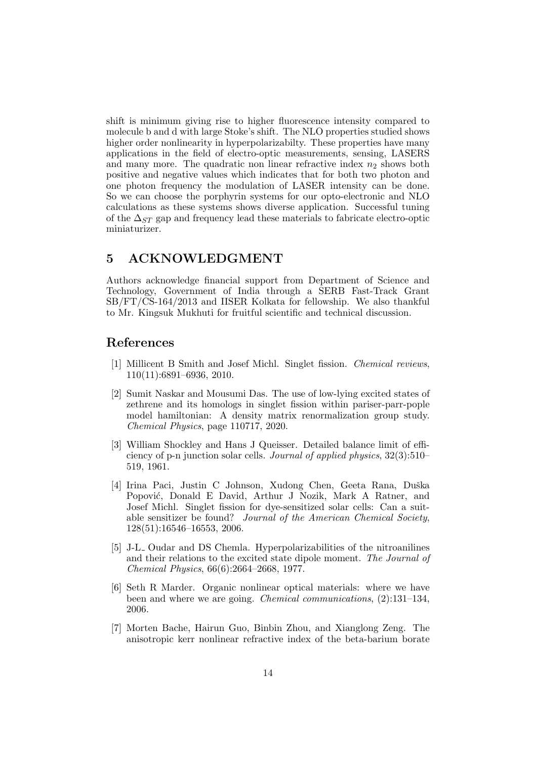shift is minimum giving rise to higher fluorescence intensity compared to molecule b and d with large Stoke's shift. The NLO properties studied shows higher order nonlinearity in hyperpolarizabilty. These properties have many applications in the field of electro-optic measurements, sensing, LASERS and many more. The quadratic non linear refractive index  $n_2$  shows both positive and negative values which indicates that for both two photon and one photon frequency the modulation of LASER intensity can be done. So we can choose the porphyrin systems for our opto-electronic and NLO calculations as these systems shows diverse application. Successful tuning of the  $\Delta_{ST}$  gap and frequency lead these materials to fabricate electro-optic miniaturizer.

### 5 ACKNOWLEDGMENT

Authors acknowledge financial support from Department of Science and Technology, Government of India through a SERB Fast-Track Grant SB/FT/CS-164/2013 and IISER Kolkata for fellowship. We also thankful to Mr. Kingsuk Mukhuti for fruitful scientific and technical discussion.

### References

- <span id="page-13-0"></span>[1] Millicent B Smith and Josef Michl. Singlet fission. Chemical reviews, 110(11):6891–6936, 2010.
- <span id="page-13-1"></span>[2] Sumit Naskar and Mousumi Das. The use of low-lying excited states of zethrene and its homologs in singlet fission within pariser-parr-pople model hamiltonian: A density matrix renormalization group study. Chemical Physics, page 110717, 2020.
- <span id="page-13-2"></span>[3] William Shockley and Hans J Queisser. Detailed balance limit of efficiency of p-n junction solar cells. Journal of applied physics, 32(3):510– 519, 1961.
- <span id="page-13-3"></span>[4] Irina Paci, Justin C Johnson, Xudong Chen, Geeta Rana, Duška Popović, Donald E David, Arthur J Nozik, Mark A Ratner, and Josef Michl. Singlet fission for dye-sensitized solar cells: Can a suitable sensitizer be found? Journal of the American Chemical Society, 128(51):16546–16553, 2006.
- <span id="page-13-4"></span>[5] J-L Oudar and DS Chemla. Hyperpolarizabilities of the nitroanilines and their relations to the excited state dipole moment. The Journal of Chemical Physics, 66(6):2664–2668, 1977.
- <span id="page-13-5"></span>[6] Seth R Marder. Organic nonlinear optical materials: where we have been and where we are going. Chemical communications, (2):131–134, 2006.
- <span id="page-13-6"></span>[7] Morten Bache, Hairun Guo, Binbin Zhou, and Xianglong Zeng. The anisotropic kerr nonlinear refractive index of the beta-barium borate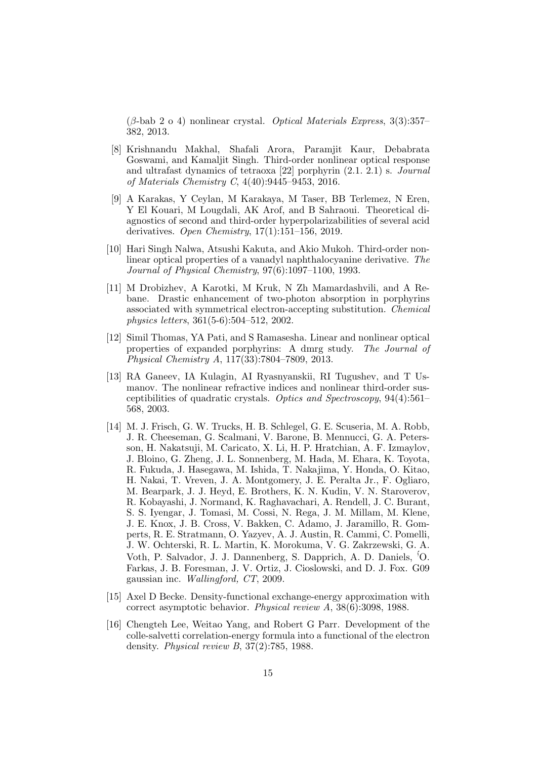$(\beta$ -bab 2 o 4) nonlinear crystal. *Optical Materials Express*, 3(3):357– 382, 2013.

- <span id="page-14-0"></span>[8] Krishnandu Makhal, Shafali Arora, Paramjit Kaur, Debabrata Goswami, and Kamaljit Singh. Third-order nonlinear optical response and ultrafast dynamics of tetraoxa [22] porphyrin (2.1. 2.1) s. Journal of Materials Chemistry C, 4(40):9445–9453, 2016.
- <span id="page-14-1"></span>[9] A Karakas, Y Ceylan, M Karakaya, M Taser, BB Terlemez, N Eren, Y El Kouari, M Lougdali, AK Arof, and B Sahraoui. Theoretical diagnostics of second and third-order hyperpolarizabilities of several acid derivatives. Open Chemistry,  $17(1):151-156$ , 2019.
- <span id="page-14-2"></span>[10] Hari Singh Nalwa, Atsushi Kakuta, and Akio Mukoh. Third-order nonlinear optical properties of a vanadyl naphthalocyanine derivative. The Journal of Physical Chemistry, 97(6):1097–1100, 1993.
- <span id="page-14-3"></span>[11] M Drobizhev, A Karotki, M Kruk, N Zh Mamardashvili, and A Rebane. Drastic enhancement of two-photon absorption in porphyrins associated with symmetrical electron-accepting substitution. Chemical physics letters, 361(5-6):504–512, 2002.
- <span id="page-14-4"></span>[12] Simil Thomas, YA Pati, and S Ramasesha. Linear and nonlinear optical properties of expanded porphyrins: A dmrg study. The Journal of Physical Chemistry A, 117(33):7804–7809, 2013.
- <span id="page-14-5"></span>[13] RA Ganeev, IA Kulagin, AI Ryasnyanskii, RI Tugushev, and T Usmanov. The nonlinear refractive indices and nonlinear third-order susceptibilities of quadratic crystals. Optics and Spectroscopy, 94(4):561– 568, 2003.
- <span id="page-14-6"></span>[14] M. J. Frisch, G. W. Trucks, H. B. Schlegel, G. E. Scuseria, M. A. Robb, J. R. Cheeseman, G. Scalmani, V. Barone, B. Mennucci, G. A. Petersson, H. Nakatsuji, M. Caricato, X. Li, H. P. Hratchian, A. F. Izmaylov, J. Bloino, G. Zheng, J. L. Sonnenberg, M. Hada, M. Ehara, K. Toyota, R. Fukuda, J. Hasegawa, M. Ishida, T. Nakajima, Y. Honda, O. Kitao, H. Nakai, T. Vreven, J. A. Montgomery, J. E. Peralta Jr., F. Ogliaro, M. Bearpark, J. J. Heyd, E. Brothers, K. N. Kudin, V. N. Staroverov, R. Kobayashi, J. Normand, K. Raghavachari, A. Rendell, J. C. Burant, S. S. Iyengar, J. Tomasi, M. Cossi, N. Rega, J. M. Millam, M. Klene, J. E. Knox, J. B. Cross, V. Bakken, C. Adamo, J. Jaramillo, R. Gomperts, R. E. Stratmann, O. Yazyev, A. J. Austin, R. Cammi, C. Pomelli, J. W. Ochterski, R. L. Martin, K. Morokuma, V. G. Zakrzewski, G. A. Voth, P. Salvador, J. J. Dannenberg, S. Dapprich, A. D. Daniels, ´'O. Farkas, J. B. Foresman, J. V. Ortiz, J. Cioslowski, and D. J. Fox. G09 gaussian inc. Wallingford, CT, 2009.
- <span id="page-14-7"></span>[15] Axel D Becke. Density-functional exchange-energy approximation with correct asymptotic behavior. Physical review A, 38(6):3098, 1988.
- <span id="page-14-8"></span>[16] Chengteh Lee, Weitao Yang, and Robert G Parr. Development of the colle-salvetti correlation-energy formula into a functional of the electron density. Physical review B, 37(2):785, 1988.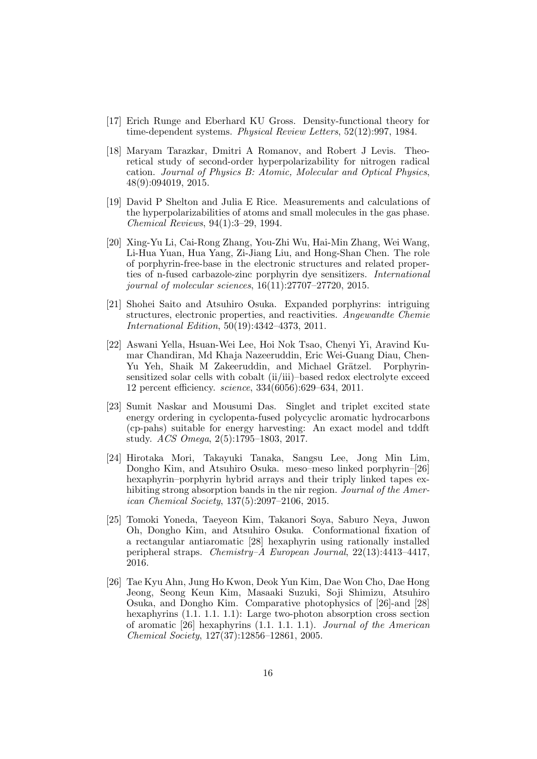- <span id="page-15-0"></span>[17] Erich Runge and Eberhard KU Gross. Density-functional theory for time-dependent systems. Physical Review Letters, 52(12):997, 1984.
- <span id="page-15-1"></span>[18] Maryam Tarazkar, Dmitri A Romanov, and Robert J Levis. Theoretical study of second-order hyperpolarizability for nitrogen radical cation. Journal of Physics B: Atomic, Molecular and Optical Physics, 48(9):094019, 2015.
- <span id="page-15-2"></span>[19] David P Shelton and Julia E Rice. Measurements and calculations of the hyperpolarizabilities of atoms and small molecules in the gas phase. Chemical Reviews, 94(1):3–29, 1994.
- <span id="page-15-3"></span>[20] Xing-Yu Li, Cai-Rong Zhang, You-Zhi Wu, Hai-Min Zhang, Wei Wang, Li-Hua Yuan, Hua Yang, Zi-Jiang Liu, and Hong-Shan Chen. The role of porphyrin-free-base in the electronic structures and related properties of n-fused carbazole-zinc porphyrin dye sensitizers. International journal of molecular sciences, 16(11):27707–27720, 2015.
- <span id="page-15-4"></span>[21] Shohei Saito and Atsuhiro Osuka. Expanded porphyrins: intriguing structures, electronic properties, and reactivities. Angewandte Chemie International Edition, 50(19):4342–4373, 2011.
- <span id="page-15-5"></span>[22] Aswani Yella, Hsuan-Wei Lee, Hoi Nok Tsao, Chenyi Yi, Aravind Kumar Chandiran, Md Khaja Nazeeruddin, Eric Wei-Guang Diau, Chen-Yu Yeh, Shaik M Zakeeruddin, and Michael Grätzel. Porphyrinsensitized solar cells with cobalt (ii/iii)–based redox electrolyte exceed 12 percent efficiency. science, 334(6056):629–634, 2011.
- <span id="page-15-6"></span>[23] Sumit Naskar and Mousumi Das. Singlet and triplet excited state energy ordering in cyclopenta-fused polycyclic aromatic hydrocarbons (cp-pahs) suitable for energy harvesting: An exact model and tddft study. ACS Omega, 2(5):1795–1803, 2017.
- <span id="page-15-7"></span>[24] Hirotaka Mori, Takayuki Tanaka, Sangsu Lee, Jong Min Lim, Dongho Kim, and Atsuhiro Osuka. meso–meso linked porphyrin–[26] hexaphyrin–porphyrin hybrid arrays and their triply linked tapes exhibiting strong absorption bands in the nir region. *Journal of the Amer*ican Chemical Society, 137(5):2097–2106, 2015.
- [25] Tomoki Yoneda, Taeyeon Kim, Takanori Soya, Saburo Neya, Juwon Oh, Dongho Kim, and Atsuhiro Osuka. Conformational fixation of a rectangular antiaromatic [28] hexaphyrin using rationally installed peripheral straps. Chemistry–A European Journal, 22(13):4413–4417, 2016.
- <span id="page-15-8"></span>[26] Tae Kyu Ahn, Jung Ho Kwon, Deok Yun Kim, Dae Won Cho, Dae Hong Jeong, Seong Keun Kim, Masaaki Suzuki, Soji Shimizu, Atsuhiro Osuka, and Dongho Kim. Comparative photophysics of [26]-and [28] hexaphyrins (1.1. 1.1. 1.1): Large two-photon absorption cross section of aromatic [26] hexaphyrins (1.1. 1.1. 1.1). Journal of the American Chemical Society, 127(37):12856–12861, 2005.